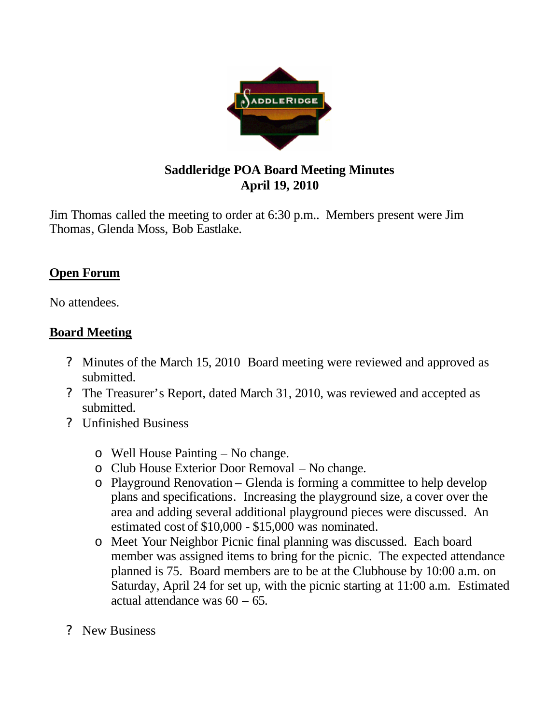

## **Saddleridge POA Board Meeting Minutes April 19, 2010**

Jim Thomas called the meeting to order at 6:30 p.m.. Members present were Jim Thomas, Glenda Moss, Bob Eastlake.

## **Open Forum**

No attendees.

## **Board Meeting**

- ? Minutes of the March 15, 2010 Board meeting were reviewed and approved as submitted.
- ? The Treasurer's Report, dated March 31, 2010, was reviewed and accepted as submitted.
- ? Unfinished Business
	- o Well House Painting No change.
	- o Club House Exterior Door Removal No change.
	- o Playground Renovation Glenda is forming a committee to help develop plans and specifications. Increasing the playground size, a cover over the area and adding several additional playground pieces were discussed. An estimated cost of \$10,000 - \$15,000 was nominated.
	- o Meet Your Neighbor Picnic final planning was discussed. Each board member was assigned items to bring for the picnic. The expected attendance planned is 75. Board members are to be at the Clubhouse by 10:00 a.m. on Saturday, April 24 for set up, with the picnic starting at 11:00 a.m. Estimated actual attendance was 60 – 65.
- ? New Business